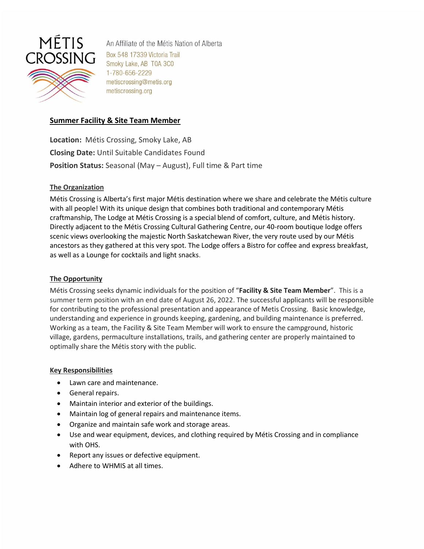

An Affiliate of the Métis Nation of Alberta Box 548 17339 Victoria Trail Smoky Lake, AB T0A 3C0 1-780-656-2229 metiscrossing@metis.org metiscrossing.org

# **Summer Facility & Site Team Member**

**Location:** Métis Crossing, Smoky Lake, AB **Closing Date:** Until Suitable Candidates Found **Position Status:** Seasonal (May – August), Full time & Part time

## **The Organization**

Métis Crossing is Alberta's first major Métis destination where we share and celebrate the Métis culture with all people! With its unique design that combines both traditional and contemporary Métis craftmanship, The Lodge at Métis Crossing is a special blend of comfort, culture, and Métis history. Directly adjacent to the Métis Crossing Cultural Gathering Centre, our 40-room boutique lodge offers scenic views overlooking the majestic North Saskatchewan River, the very route used by our Métis ancestors as they gathered at this very spot. The Lodge offers a Bistro for coffee and express breakfast, as well as a Lounge for cocktails and light snacks.

## **The Opportunity**

Métis Crossing seeks dynamic individuals for the position of "**Facility & Site Team Member**". This is a summer term position with an end date of August 26, 2022. The successful applicants will be responsible for contributing to the professional presentation and appearance of Metis Crossing. Basic knowledge, understanding and experience in grounds keeping, gardening, and building maintenance is preferred. Working as a team, the Facility & Site Team Member will work to ensure the campground, historic village, gardens, permaculture installations, trails, and gathering center are properly maintained to optimally share the Métis story with the public.

## **Key Responsibilities**

- Lawn care and maintenance.
- General repairs.
- Maintain interior and exterior of the buildings.
- Maintain log of general repairs and maintenance items.
- Organize and maintain safe work and storage areas.
- Use and wear equipment, devices, and clothing required by Métis Crossing and in compliance with OHS.
- Report any issues or defective equipment.
- Adhere to WHMIS at all times.